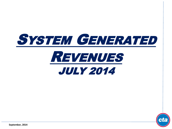



**September, 2014**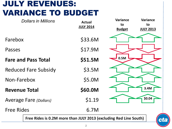## JULY REVENUES: VARIANCE TO BUDGET

|                               | <b>Dollars in Millions</b>                                               | <b>Actual</b><br><b>JULY 2014</b> | <b>Variance</b><br>to<br><b>Budget</b> | <b>Variance</b><br>to<br><b>JULY 2013</b> |
|-------------------------------|--------------------------------------------------------------------------|-----------------------------------|----------------------------------------|-------------------------------------------|
| Farebox                       |                                                                          | \$33.6M                           |                                        |                                           |
| Passes                        |                                                                          | \$17.9M                           |                                        |                                           |
|                               | <b>Fare and Pass Total</b>                                               | \$51.5M                           | 0.5M                                   |                                           |
|                               | <b>Reduced Fare Subsidy</b>                                              | \$3.5M                            |                                        |                                           |
| Non-Farebox                   |                                                                          | \$5.0M                            |                                        |                                           |
| <b>Revenue Total</b>          |                                                                          | \$60.0M                           |                                        | 3.4M                                      |
| <b>Average Fare (Dollars)</b> |                                                                          | \$1.19                            |                                        | \$0.04                                    |
| <b>Free Rides</b>             |                                                                          | 6.7M                              |                                        |                                           |
|                               | Free Rides is 0.2M more than JULY 2013 (excluding Red Line South)<br>CT. |                                   |                                        |                                           |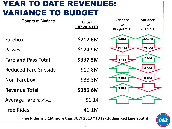## YEAR TO DATE REVENUES: VARIANCE TO BUDGET

| <b>Dollars in Millions</b>                                            | <b>Actual</b><br><b>JULY 2014 YTD</b> | <b>Variance</b><br>to<br><b>Budget YTD</b> | <b>Variance</b><br>to<br><b>2013 YTD</b> |  |
|-----------------------------------------------------------------------|---------------------------------------|--------------------------------------------|------------------------------------------|--|
| Farebox                                                               | \$212.6M                              | 6.0M                                       | 32.2M                                    |  |
| Passes                                                                | \$124.9M                              | 11.1M                                      | 29.6M                                    |  |
| <b>Fare and Pass Total</b>                                            | \$337.5M                              | 5.1M                                       | 2.6M                                     |  |
| <b>Reduced Fare Subsidy</b>                                           | \$10.8M                               |                                            | 4.5M                                     |  |
| Non-Farebox                                                           | \$38.3M                               | 7.8M                                       | 0.8M                                     |  |
| <b>Revenue Total</b>                                                  | \$386.6M                              | 3.8M                                       |                                          |  |
| <b>Average Fare (Dollars)</b>                                         | \$1.14                                |                                            |                                          |  |
| <b>Free Rides</b>                                                     | 46.1M                                 |                                            |                                          |  |
| Free Rides is 5.1M more than JULY 2013 YTD (excluding Red Line South) |                                       |                                            |                                          |  |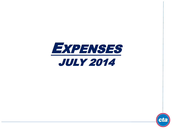



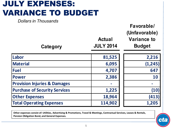# JULY EXPENSES: VARIANCE TO BUDGET

*Dollars in Thousands*

| Category                                | <b>Actual</b><br><b>JULY 2014</b> | Favorable/<br>(Unfavorable)<br><b>Variance to</b><br><b>Budget</b> |
|-----------------------------------------|-----------------------------------|--------------------------------------------------------------------|
| Labor                                   | 81,525                            | 2,216                                                              |
| <b>Material</b>                         | 6,095                             | (1, 245)                                                           |
| <b>Fuel</b>                             | 4,707                             | 647                                                                |
| <b>Power</b>                            | 2,386                             | 10                                                                 |
| <b>Provision Injuries &amp; Damages</b> |                                   |                                                                    |
| <b>Purchase of Security Services</b>    | 1,225                             | (10)                                                               |
| <b>Other Expenses</b>                   | 18,964                            | (413)                                                              |
| <b>Total Operating Expenses</b>         | 114,902                           | 1,205                                                              |

**Other expenses consist of: Utilities, Advertising & Promotions, Travel & Meetings, Contractual Services, Leases & Rentals, Pension Obligation Bond, and General Expenses.**

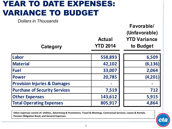## YEAR TO DATE EXPENSES: VARIANCE TO BUDGET

**Category Actual YTD 2014 Favorable/ (Unfavorable) YTD Variance to Budget** Labor **1999 1200 1200 1200 1200 1200 1200 1200 1200 1200 1200 1200 1200 Material 42,102 (6,136) Fuel 33,007 2,064 Power 20,785 (4,201) Provision Injuries & Damages** *Dollars in Thousands*

**Purchase of Security Services** 1 7,519

**Other Expenses 143,612** 

**Total Operating Expenses 1 805,917** 

| 6,509    |
|----------|
| (6, 136) |
| 2,064    |
| (4,201)  |
|          |
| 712      |
| 5,915    |
| 4,864    |

**Other expenses consist of: Utilities, Advertising & Promotions, Travel & Meetings, Contractual Services, Leases & Rentals, Pension Obligation Bond, and General Expenses.**